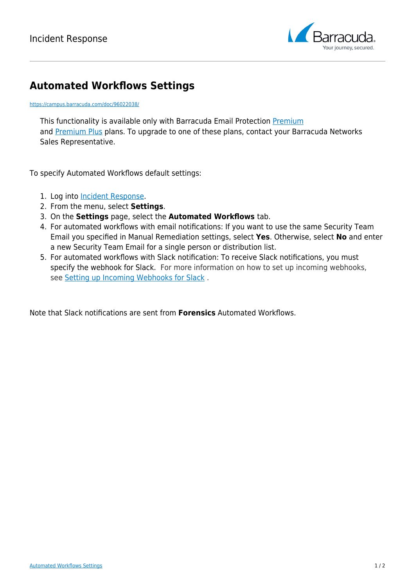

## **Automated Workflows Settings**

## <https://campus.barracuda.com/doc/96022038/>

This functionality is available only with Barracuda Email Protection [Premium](http://campus.barracuda.com/doc/96014231/) and **Premium Plus** plans. To upgrade to one of these plans, contact your Barracuda Networks Sales Representative.

To specify Automated Workflows default settings:

- 1. Log into [Incident Response.](https://forensics.barracudanetworks.com/)
- 2. From the menu, select **Settings**.
- 3. On the **Settings** page, select the **Automated Workflows** tab.
- 4. For automated workflows with email notifications: If you want to use the same Security Team Email you specified in Manual Remediation settings, select **Yes**. Otherwise, select **No** and enter a new Security Team Email for a single person or distribution list.
- 5. For automated workflows with Slack notification: To receive Slack notifications, you must specify the webhook for Slack. For more information on how to set up incoming webhooks, see [Setting up Incoming Webhooks for Slack](https://get.slack.help/hc/en-us/articles/115005265063-Incoming-WebHooks-for-Slack) .

Note that Slack notifications are sent from **Forensics** Automated Workflows.